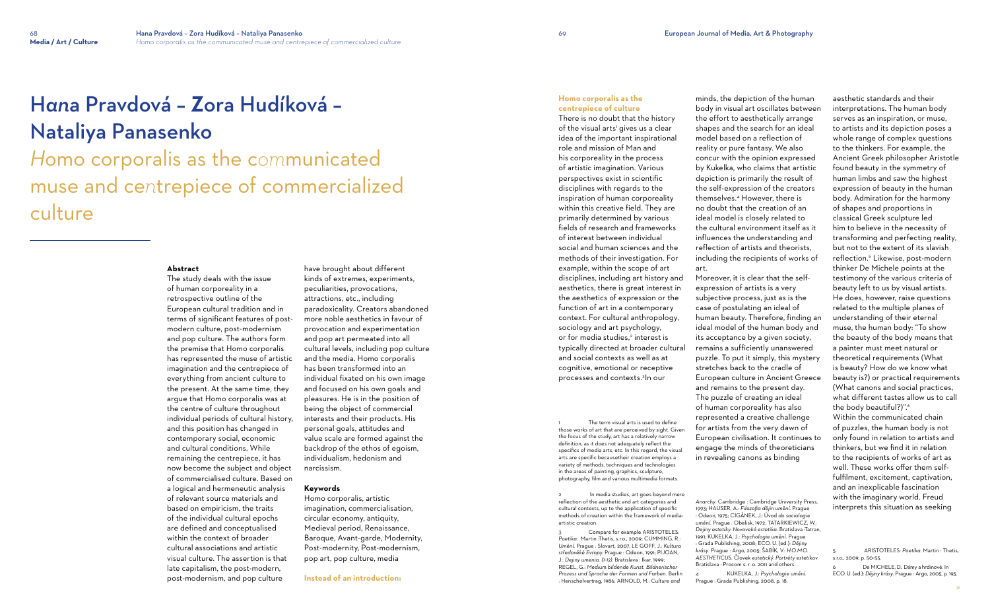# H*an*a Pravdová – **Z**ora Hudíková – Nataliya Panasenko

## *Ho*mo corporalis as the c*om*municated muse and ce*n*trepiece of commercialized culture

### **Abstract**

The study deals with the issue of human corporeality in a retrospective outline of the European cultural tradition and in terms of significant features of postmodern culture, post-modernism and pop culture. The authors form the premise that Homo corporalis has represented the muse of artistic imagination and the centrepiece of everything from ancient culture to the present. At the same time, they argue that Homo corporalis was at the centre of culture throughout individual periods of cultural history, and this position has changed in contemporary social, economic and cultural conditions. While remaining the centrepiece, it has now become the subject and object of commercialised culture. Based on a logical and hermeneutic analysis of relevant source materials and based on empiricism, the traits of the individual cultural epochs are defined and conceptualised within the context of broader cultural associations and artistic visual culture. The assertion is that late capitalism, the post-modern, post-modernism, and pop culture

have brought about different kinds of extremes, experiments, peculiarities, provocations, attractions, etc., including paradoxicality. Creators abandoned more noble aesthetics in favour of provocation and experimentation and pop art permeated into all cultural levels, including pop culture and the media. Homo corporalis has been transformed into an individual fixated on his own image and focused on his own goals and pleasures. He is in the position of being the object of commercial interests and their products. His personal goals, attitudes and value scale are formed against the backdrop of the ethos of egoism, individualism, hedonism and narcissism.

The term visual arts is used to define those works of art that are perceived by sight. Given the focus of the study, art has a relatively narrow definition, as it does not adequately reflect the specifics of media arts, etc. In this regard, the visual arts are specific becausetheir creation employs a variety of methods, techniques and technologies in the areas of painting, graphics, sculpture, photography, film and various multimedia formats.

### **Keywords**

Compare for example ARISTOTELES: *Poetika*. Martin :Thetis, s.r.o., 2009; CUMMING, R.: *Umění*. Prague : Slovart, 2007; LE GOFF, J.: *Kultura středověké Evropy.* Prague : Odeon, 1991; PIJOAN, J.: *Dejiny umenia. (1-12).* Bratislava : Ikar, 1999; REGEL, G.: *Medium bildende Kunst. Bildnerischer Prozess und Sprache der Formen und Farben*. Berlin : Henschelvertrag, 1986; ARNOLD, M.: *Culture and* 

Homo corporalis, artistic imagination, commercialisation, circular economy, antiquity, Medieval period, Renaissance, Baroque, Avant-garde, Modernity, Post-modernity, Post-modernism, pop art, pop culture, media

**Instead of an introduction:** 

**Homo corporalis as the centrepiece of culture**

There is no doubt that the history of the visual arts' gives us a clear idea of the important inspirational role and mission of Man and his corporeality in the process of artistic imagination. Various perspectives exist in scientific disciplines with regards to the inspiration of human corporeality within this creative field. They are primarily determined by various fields of research and frameworks of interest between individual social and human sciences and the methods of their investigation. For example, within the scope of art disciplines, including art history and aesthetics, there is great interest in the aesthetics of expression or the function of art in a contemporary context. For cultural anthropology, sociology and art psychology, or for media studies,<sup>2</sup> interest is typically directed at broader cultural and social contexts as well as at cognitive, emotional or receptive processes and contexts.<sup>3</sup> In our

2 In media studies, art goes beyond mere reflection of the aesthetic and art categories and cultural contexts, up to the application of specific methods of creation within the framework of mediaartistic creation.

minds, the depiction of the human body in visual art oscillates between the effort to aesthetically arrange shapes and the search for an ideal model based on a reflection of reality or pure fantasy. We also concur with the opinion expressed by Kukelka, who claims that artistic depiction is primarily the result of the self-expression of the creators themselves.<sup>4</sup> However, there is no doubt that the creation of an ideal model is closely related to the cultural environment itself as it influences the understanding and reflection of artists and theorists, including the recipients of works of

art.

Moreover, it is clear that the selfexpression of artists is a very subjective process, just as is the case of postulating an ideal of human beauty. Therefore, finding an ideal model of the human body and its acceptance by a given society, remains a sufficiently unanswered puzzle. To put it simply, this mystery stretches back to the cradle of European culture in Ancient Greece and remains to the present day. The puzzle of creating an ideal of human corporeality has also represented a creative challenge for artists from the very dawn of European civilisation. It continues to engage the minds of theoreticians in revealing canons as binding

4 KUKELKA, J.: *Psychologie umění.* Prague : Grada Publishing, 2008, p. 18.

aesthetic standards and their interpretations. The human body serves as an inspiration, or muse, to artists and its depiction poses a whole range of complex questions to the thinkers. For example, the Ancient Greek philosopher Aristotle found beauty in the symmetry of human limbs and saw the highest expression of beauty in the human body. Admiration for the harmony of shapes and proportions in classical Greek sculpture led him to believe in the necessity of transforming and perfecting reality, but not to the extent of its slavish reflection. 5 Likewise, post-modern thinker De Michele points at the testimony of the various criteria of beauty left to us by visual artists. He does, however, raise questions related to the multiple planes of understanding of their eternal muse, the human body: "To show the beauty of the body means that a painter must meet natural or theoretical requirements (What is beauty? How do we know what beauty is?) or practical requirements (What canons and social practices, what different tastes allow us to call the body beautiful?)". 6 Within the communicated chain of puzzles, the human body is not only found in relation to artists and thinkers, but we find it in relation to the recipients of works of art as well. These works offer them selffulfilment, excitement, captivation, and an inexplicable fascination with the imaginary world. Freud interprets this situation as seeking

De MICHELE, D.: Dámy a hrdinové. In ECO. U. (ed.): *Dějiny krásy*. Prague : Argo, 2005, p. 193.

*Anarchy*. Cambridge : Cambridge University Press, 1993; HAUSER, A.: *Filozofia dějin umění*. Prague : Odeon, 1975; CIGÁNEK, J.: Úvod *do sociologie umění*. Prague : Obelisk, 1972; TATARKIEWICZ, W.: *Dejiny estetiky. Novoveká estetika.* Bratislava :Tatran, 1991; KUKELKA, J.: *Psychologie umění.* Prague : Grada Publishing, 2008; ECO. U. (ed.): *Dějiny krásy*. Prague : Argo, 2005; ŠABÍK, V.: *H.O.M.O. AESTHETICUS.* Človek *estetický. Portréty estetikov*. Bratislava : Procom s. r. o. 2011 and others.

<sup>5</sup> ARISTOTELES: *Poetika*. Martin : Thetis, s.r.o., 2009, p. 50-55.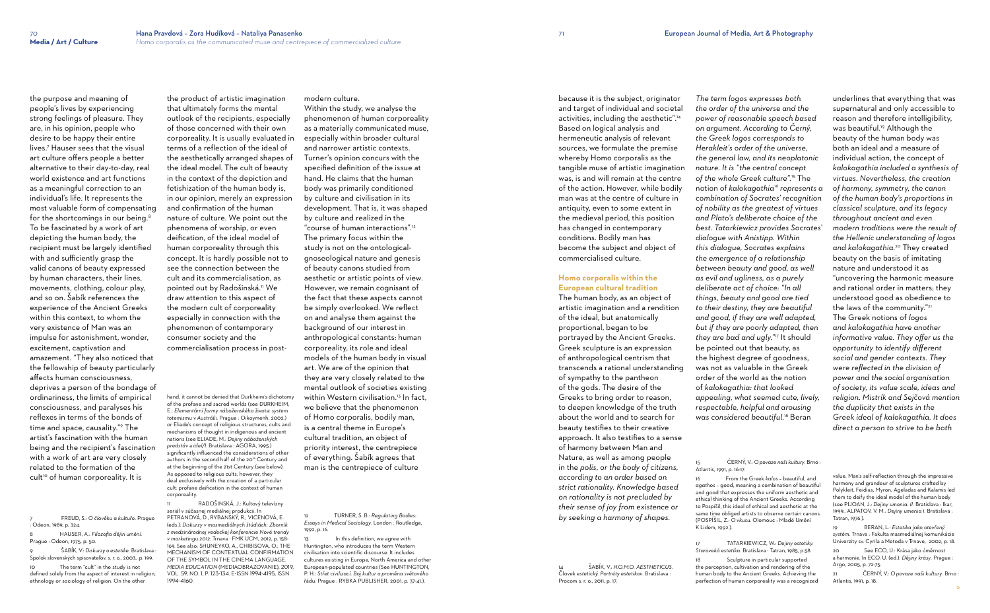people's lives by experiencing strong feelings of pleasure. They are, in his opinion, people who desire to be happy their entire lives.<sup>7</sup> Hauser sees that the visual art culture offers people a better alternative to their day-to-day, real world existence and art functions as a meaningful correction to an individual's life. It represents the most valuable form of compensating for the shortcomings in our being. $^{\rm 8}$ To be fascinated by a work of art depicting the human body, the recipient must be largely identified with and sufficiently grasp the valid canons of beauty expressed by human characters, their lines, movements, clothing, colour play, and so on. Šabík references the experience of the Ancient Greeks within this context, to whom the very existence of Man was an impulse for astonishment, wonder, excitement, captivation and amazement. "They also noticed that the fellowship of beauty particularly affects human consciousness, deprives a person of the bondage of ordinariness, the limits of empirical consciousness, and paralyses his reflexes in terms of the bonds of time and space, causality."<sup>9</sup> The artist's fascination with the human being and the recipient's fascination with a work of art are very closely related to the formation of the cult<sup>10</sup> of human corporeality. It is

the purpose and meaning of

 $\check{\text{S}}$ ABÍK, V.: *Diskurzy o estetike*. Bratislava : Spolok slovenských spisovateľov, s. r. o., 2003, p. 199. 10 The term "cult" in the study is not

7 FREUD, S.: *O člověku a kultuře*. Prague : Odeon, 1989, p. 324.

8 HAUSER, A.: *Filozofia dějin umění*. Prague : Odeon, 1975, p. 50.

defined solely from the aspect of interest in religion, ethnology or sociology of religion. On the other

RADOŠINSKÁ, J.: Kultový televízny seriál v súčasnej mediálnej produkcii. In PETRANOVÁ, D., RYBANSKÝ, R., VICENOVÁ, E. (eds.): *Diskurzy v masmediálnych štúdiách: Zborník z medzinárodnej vedeckej konferencie Nové trendy v marketingu 2012*. Trnava : FMK UCM, 2012, p. 158- 169. See also: SHUNEYKO, A., CHIBISOVA, O.: THE MECHANISM OF CONTEXTUAL CONFIRMATION OF THE SYMBOL IN THE CINEMA LANGUAGE. *MEDIA EDUCATION* (MEDIAOBRAZOVANIE), 2019, VOL. 59, NO. 1, P. 123-134. E-ISSN 1994-4195, ISSN 1994-4160.

the product of artistic imagination that ultimately forms the mental outlook of the recipients, especially of those concerned with their own corporeality. It is usually evaluated in terms of a reflection of the ideal of the aesthetically arranged shapes of the ideal model. The cult of beauty in the context of the depiction and fetishization of the human body is, in our opinion, merely an expression and confirmation of the human nature of culture. We point out the phenomena of worship, or even deification, of the ideal model of human corporeality through this concept. It is hardly possible not to see the connection between the cult and its commercialisation, as pointed out by Radošinská.11 We draw attention to this aspect of the modern cult of corporeality especially in connection with the phenomenon of contemporary consumer society and the commercialisation process in post-

> In this definition, we agree with Huntington, who introduces the term Western civilisation into scientific discourse. It includes cultures existing in Europe, North America and other European-populated countries (See HUNTINGTON, P. H.: *Střet civilizací. Boj kultur a proměna světového*  řádu*.* Prague : RYBKA PUBLISHER, 2001, p. 37-41.).

hand, it cannot be denied that Durkheim's dichotomy of the profane and sacred worlds (see DURKHEIM, E.: *Elementární formy náboženského* života*: system totemismu* v *Austrálii*. Prague : Oikoymenh, 2002.) or Eliade's concept of religious structures, cults and mechanisms of thought in indigenous and ancient nations (see ELIADE, M.: *Dejiny náboženských predstáv* a *ideí/I.* Bratislava : AGORA, 1995.) significantly influenced the considerations of other authors in the second half of the 20<sup>th</sup> Century and at the beginning of the 21st Century (see below). As opposed to religious cults, however, they deal exclusively with the creation of a particular cult: profane deification in the context of human corporeality.

modern culture.

Within the study, we analyse the phenomenon of human corporeality as a materially communicated muse, especially within broader cultural and narrower artistic contexts. Turner's opinion concurs with the specified definition of the issue at hand. He claims that the human body was primarily conditioned by culture and civilisation in its development. That is, it was shaped by culture and realized in the "course of human interactions".<sup>12</sup> The primary focus within the study is not on the ontologicalgnoseological nature and genesis of beauty canons studied from aesthetic or artistic points of view. However, we remain cognisant of the fact that these aspects cannot be simply overlooked. We reflect on and analyse them against the background of our interest in anthropological constants: human corporeality, its role and ideal models of the human body in visual art. We are of the opinion that they are very closely related to the mental outlook of societies existing within Western civilisation.<sup>13</sup> In fact, we believe that the phenomenon of Homo corporalis, bodily man, is a central theme in Europe's cultural tradition, an object of priority interest, the centrepiece of everything. Šabík agrees that man is the centrepiece of culture

12 TURNER, S. B.: *Regulating Bodies: Essays in Medical Sociology*. London : Routledge, 1992, p. 16.

because it is the subject, originator and target of individual and societal activities, including the aesthetic".<sup>14</sup> Based on logical analysis and hermeneutic analysis of relevant sources, we formulate the premise whereby Homo corporalis as the tangible muse of artistic imagination was, is and will remain at the centre of the action. However, while bodily man was at the centre of culture in antiquity, even to some extent in the medieval period, this position has changed in contemporary conditions. Bodily man has become the subject and object of commercialised culture.

### **Homo corporalis within the European cultural tradition**

The human body, as an object of artistic imagination and a rendition of the ideal, but anatomically proportional, began to be portrayed by the Ancient Greeks. Greek sculpture is an expression of anthropological centrism that transcends a rational understanding of sympathy to the pantheon of the gods. The desire of the Greeks to bring order to reason, to deepen knowledge of the truth about the world and to search for beauty testifies to their creative approach. It also testifies to a sense of harmony between Man and Nature, as well as among people in the *polis, or the body of citizens, according to an order based on strict rationality. Knowledge based on rationality is not precluded by their sense of joy from existence or by seeking a harmony of shapes.* 

14 ŠABÍK, V.: *H.O.M.O. AESTHETICUS.*  Človek *estetický. Portréty estetikov*. Bratislava : Procom s. r. o., 2011, p. 17.

*The term logos expresses both the order of the universe and the power of reasonable speech based on argument. According to Černý, the Greek logos corresponds to Herakleit's order of the universe, the general law, and its neoplatonic nature. It is "the central concept of the whole Greek culture".*<sup>15</sup> The notion of *kalokagathia*<sup>16</sup> *represents a combination of Socrates' recognition of nobility as the greatest of virtues and Plato's deliberate choice of the best. Tatarkiewicz provides Socrates' dialogue with Anistipp. Within this dialogue, Socrates explains the emergence of a relationship between beauty and good, as well as evil and ugliness, as a purely deliberate act of choice: "In all things, beauty and good are tied to their destiny, they are beautiful and good, if they are well adapted, but if they are poorly adapted, then they are bad and ugly."*<sup>17</sup> It should be pointed out that beauty, as the highest degree of goodness, was not as valuable in the Greek order of the world as the notion of *kalokagathia: that looked appealing, what seemed cute, lively, respectable, helpful and arousing was considered beautiful.*<sup>18</sup> Beran 15 ČERNÝ, V.: *O povaze naši kultury*. Brno :

# Atlantis, 1991, p. 16-17. K Lidem, 1992.).

16 From the Greek *kalos* – beautiful, and *agathos* – good, meaning a combination of beautiful and good that expresses the uniform aesthetic and ethical thinking of the Ancient Greeks. According to Pospíšil, this ideal of ethical and aesthetic at the same time obliged artists to observe certain canons (POSPÍŠIL, Z.: *O vkusu*. Olomouc : Mladé Umění

17 TATARKIEWICZ, W.: *Dejiny estetiky. Staroveká estetika.* Bratislava : Tatran, 1985, p.58. 18 Sculpture in particular supported the perception, cultivation and rendering of the human body to the Ancient Greeks. Achieving the perfection of human corporeality was a recognized

underlines that everything that was supernatural and only accessible to reason and therefore intelligibility, was beautiful. 19 Although the beauty of the human body was both an ideal and a measure of individual action, the concept of *kalokagathia included a synthesis of virtues. Nevertheless, the creation of harmony, symmetry, the canon of the human body's proportions in classical sculpture, and its legacy throughout ancient and even modern traditions were the result of the Hellenic understanding of logos and kalokagathia.* 20 They created beauty on the basis of imitating nature and understood it as "uncovering the harmonic measure and rational order in matters; they understood good as obedience to the laws of the community." 21 The Greek notions of *logos and kalokagathia have another informative value. They offer us the opportunity to identify different social and gender contexts. They were reflected in the division of power and the social organisation of society, its value scale, ideas and religion. Mistrík and Sejčová mention the duplicity that exists in the Greek ideal of kalokagathia. It does direct a person to strive to be both* 

value. Man's self-reflection through the impressive harmony and grandeur of sculptures crafted by Polykleit, Feidias, Myron, Ageladas and Kalamis led them to deify the ideal model of the human body (see PIJOAN, J.: *Dejiny umenia. II.* Bratislava : Ikar, 1999., ALPATOV, V. M.: *Dejiny umenia 1.* Bratislava : Tatran, 1976.).

19 BERAN, L.: *Estetika jako otevřený systém.* Trnava : Fakulta masmediálnej komunikácie Univerzity sv. Cyrila a Metoda v Trnave, 2002, p. 18. 20 See ECO, U.: Krása jako úměrnost

a harmonie. In ECO. U. (ed.): *Dějiny krásy*. Prague : Argo, 2005, p. 72-75.

21 ČERNÝ, V.: *O povaze naši kultury*. Brno : Atlantis, 1991, p. 18.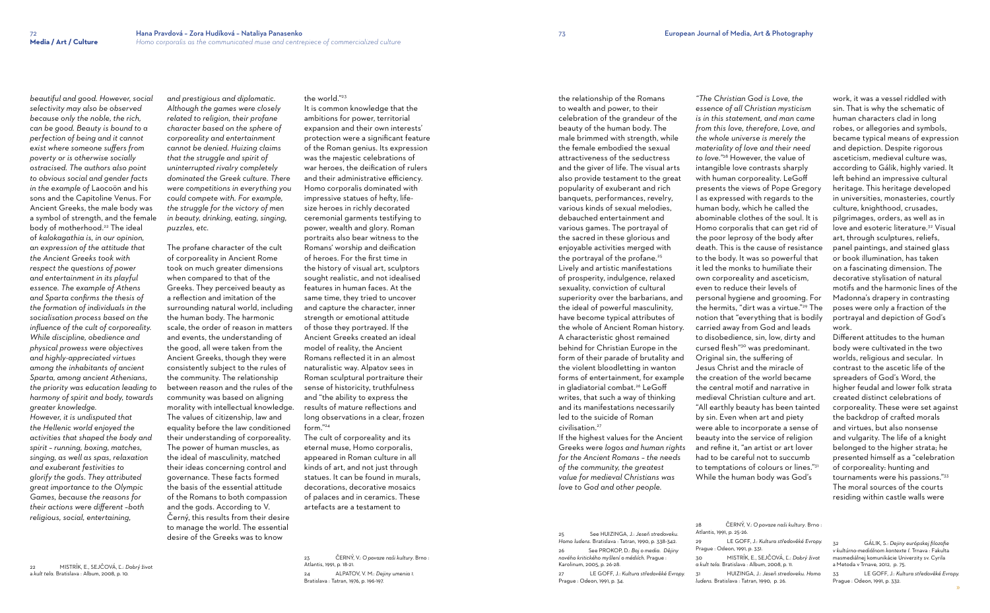*beautiful and good. However, social selectivity may also be observed because only the noble, the rich, can be good. Beauty is bound to a perfection of being and it cannot exist where someone suffers from poverty or is otherwise socially ostracised. The authors also point to obvious social and gender facts in the example of* Laocoön and his sons and the Capitoline Venus. For Ancient Greeks, the male body was a symbol of strength, and the female body of motherhood.<sup>22</sup> The ideal of *kalokagathia is, in our opinion, an expression of the attitude that the Ancient Greeks took with respect the questions of power and entertainment in its playful essence. The example of Athens and Sparta confirms the thesis of the formation of individuals in the socialisation process based on the influence of the cult of corporeality. While discipline, obedience and physical prowess were objectives and highly-appreciated virtues among the inhabitants of ancient Sparta, among ancient Athenians, the priority was education leading to harmony of spirit and body, towards greater knowledge. However, it is undisputed that* 

*the Hellenic world enjoyed the activities that shaped the body and spirit – running, boxing, matches, singing, as well as spas, relaxation and exuberant festivities to glorify the gods. They attributed great importance to the Olympic Games, because the reasons for their actions were different –both religious, social, entertaining,* 

It is common knowledge that the ambitions for power, territorial expansion and their own interests' protection were a significant feature of the Roman genius. Its expression was the majestic celebrations of war heroes, the deification of rulers and their administrative efficiency. Homo corporalis dominated with impressive statues of hefty, lifesize heroes in richly decorated ceremonial garments testifying to power, wealth and glory. Roman portraits also bear witness to the Romans' worship and deification of heroes. For the first time in the history of visual art, sculptors sought realistic, and not idealised features in human faces. At the same time, they tried to uncover and capture the character, inner strength or emotional attitude of those they portrayed. If the Ancient Greeks created an ideal model of reality, the Ancient Romans reflected it in an almost naturalistic way. Alpatov sees in Roman sculptural portraiture their sense of historicity, truthfulness and "the ability to express the results of mature reflections and long observations in a clear, frozen  $form$ "<sup>24</sup>

22 MISTRÍK, E., SEJČOVÁ, Ľ.: *Dobrý* život a *kult tela.* Bratislava : Album, 2008, p. 10.

*and prestigious and diplomatic. Although the games were closely related to religion, their profane character based on the sphere of corporeality and entertainment cannot be denied. Huizing claims that the struggle and spirit of uninterrupted rivalry completely dominated the Greek culture. There were competitions in everything you could compete with. For example, the struggle for the victory of men in beauty, drinking, eating, singing, puzzles, etc.*

the relationship of the Romans to wealth and power, to their celebration of the grandeur of the beauty of the human body. The male brimmed with strength, while the female embodied the sexual attractiveness of the seductress and the giver of life. The visual arts also provide testament to the great popularity of exuberant and rich banquets, performances, revelry, various kinds of sexual melodies, debauched entertainment and various games. The portrayal of the sacred in these glorious and enjoyable activities merged with the portrayal of the profane.<sup>25</sup> Lively and artistic manifestations of prosperity, indulgence, relaxed sexuality, conviction of cultural superiority over the barbarians, and the ideal of powerful masculinity, have become typical attributes of the whole of Ancient Roman history. A characteristic ghost remained behind for Christian Europe in the form of their parade of brutality and the violent bloodletting in wanton forms of entertainment, for example in gladiatorial combat.<sup>26</sup> LeGoff writes, that such a way of thinking and its manifestations necessarily led to the suicide of Roman civilisation<sup>27</sup>

The profane character of the cult of corporeality in Ancient Rome took on much greater dimensions when compared to that of the Greeks. They perceived beauty as a reflection and imitation of the surrounding natural world, including the human body. The harmonic scale, the order of reason in matters and events, the understanding of the good, all were taken from the Ancient Greeks, though they were consistently subject to the rules of the community. The relationship between reason and the rules of the community was based on aligning morality with intellectual knowledge. The values of citizenship, law and equality before the law conditioned their understanding of corporeality. The power of human muscles, as the ideal of masculinity, matched their ideas concerning control and governance. These facts formed the basis of the essential attitude of the Romans to both compassion and the gods. According to V. Černý, this results from their desire to manage the world. The essential desire of the Greeks was to know

the world."<sup>23</sup>

The cult of corporeality and its eternal muse, Homo corporalis, appeared in Roman culture in all kinds of art, and not just through statues. It can be found in murals, decorations, decorative mosaics of palaces and in ceramics. These artefacts are a testament to

23 ČERNÝ, V.: *O povaze naši kultury*. Brno : Atlantis, 1991, p. 18-21. 24 ALPATOV, V. M.: *Dejiny umenia 1.*  Bratislava : Tatran, 1976, p. 196-197.

If the highest values for the Ancient Greeks were *logos and human rights for the Ancient Romans – the needs of the community, the greatest value for medieval Christians was love to God and other people.* 

25 See HUIZINGA, J.: *Jeseň stredoveku. Homo ludens.* Bratislava : Tatran, 1990, p. 338-342. 26 See PROKOP, D.: *Boj o media. Dějiny nového kritického myšlení o médiích.* Prague : Karolinum, 2005, p. 26-28.

27 LE GOFF, J.: *Kultura středověké Evropy.* Prague : Odeon, 1991, p. 34.

*"The Christian God is Love, the essence of all Christian mysticism is in this statement, and man came from this love, therefore, Love, and the whole universe is merely the materiality of love and their need to love."*<sup>28</sup> However, the value of intangible love contrasts sharply with human corporeality. LeGoff presents the views of Pope Gregory I as expressed with regards to the human body, which he called the abominable clothes of the soul. It is Homo corporalis that can get rid of the poor leprosy of the body after death. This is the cause of resistance to the body. It was so powerful that it led the monks to humiliate their own corporeality and asceticism, even to reduce their levels of personal hygiene and grooming. For the hermits, "dirt was a virtue."29 The notion that "everything that is bodily carried away from God and leads to disobedience, sin, low, dirty and cursed flesh"30 was predominant. Original sin, the suffering of Jesus Christ and the miracle of the creation of the world became the central motif and narrative in medieval Christian culture and art. "All earthly beauty has been tainted by sin. Even when art and piety were able to incorporate a sense of beauty into the service of religion and refine it, "an artist or art lover had to be careful not to succumb to temptations of colours or lines."<sup>31</sup> While the human body was God's

28 ČERNÝ, V.: *O povaze naši kultury*. Brno :

Atlantis, 1991, p. 25-26. Prague : Odeon, 1991, p. 331. 30 MISTRÍK, E., SEJČOVÁ, Ľ.: *Dobrý život a kult tela.* Bratislava : Album, 2008, p. 11.

- 29 LE GOFF, J.: *Kultura středověké Evropy.*
	-
- 31 HUIZINGA, J.: *Jeseň stredoveku. Homo ludens.* Bratislava : Tatran, 1990, p. 26.

work, it was a vessel riddled with sin. That is why the schematic of human characters clad in long robes, or allegories and symbols, became typical means of expression and depiction. Despite rigorous asceticism, medieval culture was, according to Gálik, highly varied. It left behind an impressive cultural heritage. This heritage developed in universities, monasteries, courtly culture, knighthood, crusades, pilgrimages, orders, as well as in love and esoteric literature. 32 Visual art, through sculptures, reliefs, panel paintings, and stained glass or book illumination, has taken on a fascinating dimension. The decorative stylisation of natural motifs and the harmonic lines of the Madonna's drapery in contrasting poses were only a fraction of the portrayal and depiction of God's work.

Different attitudes to the human body were cultivated in the two worlds, religious and secular. In contrast to the ascetic life of the spreaders of God's Word, the higher feudal and lower folk strata created distinct celebrations of corporeality. These were set against the backdrop of crafted morals and virtues, but also nonsense and vulgarity. The life of a knight belonged to the higher strata; he presented himself as a "celebration of corporeality: hunting and tournaments were his passions."<sup>33</sup> The moral sources of the courts residing within castle walls were

32 GÁLIK, S.: *Dejiny európskej filozofie v kultúrno-mediálnom kontexte I.* Trnava : Fakulta masmediálnej komunikácie Univerzity sv. Cyrila a Metoda v Trnave, 2012, p. 75.

33 LE GOFF, J.: *Kultura středověké Evropy.*  Prague : Odeon, 1991, p. 332.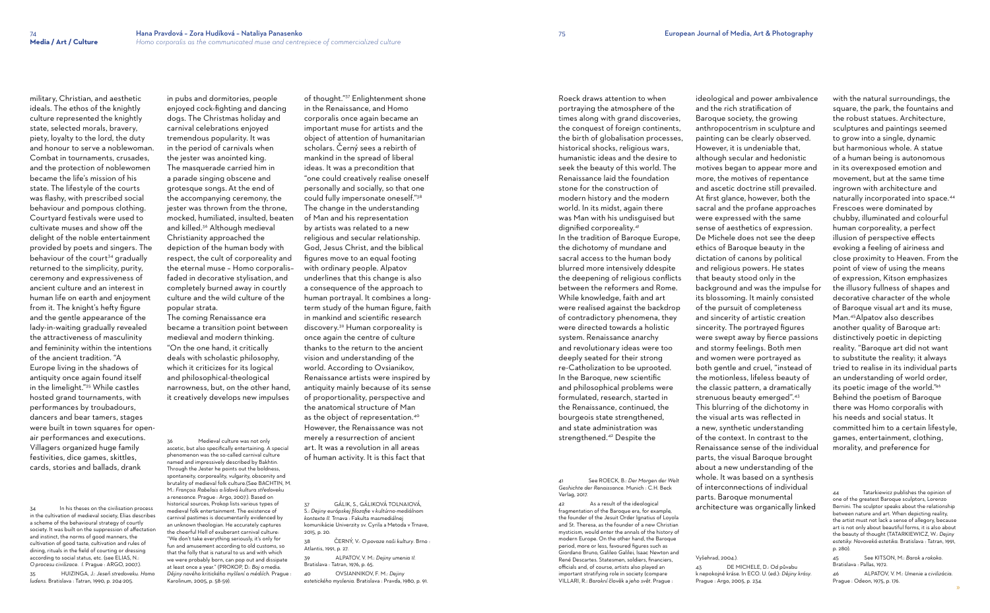military, Christian, and aesthetic ideals. The ethos of the knightly culture represented the knightly state, selected morals, bravery, piety, loyalty to the lord, the duty and honour to serve a noblewoman. Combat in tournaments, crusades, and the protection of noblewomen became the life's mission of his state. The lifestyle of the courts was flashy, with prescribed social behaviour and pompous clothing. Courtyard festivals were used to cultivate muses and show off the delight of the noble entertainment provided by poets and singers. The behaviour of the court<sup>34</sup> gradually returned to the simplicity, purity, ceremony and expressiveness of ancient culture and an interest in human life on earth and enjoyment from it. The knight's hefty figure and the gentle appearance of the lady-in-waiting gradually revealed the attractiveness of masculinity and femininity within the intentions of the ancient tradition. "A Europe living in the shadows of antiquity once again found itself in the limelight."35 While castles hosted grand tournaments, with performances by troubadours, dancers and bear tamers, stages were built in town squares for openair performances and executions. Villagers organized huge family festivities, dice games, skittles, cards, stories and ballads, drank

34 In his theses on the civilisation process in the cultivation of medieval society, Elias describes a scheme of the behavioural strategy of courtly society. It was built on the suppression of affectation and instinct, the norms of good manners, the cultivation of good taste, cultivation and rules of dining, rituals in the field of courting or dressing according to social status, etc. (see ELIAS, N.: *O procesu civilizace. I.* Prague : ARGO, 2007.).

35 HUIZINGA, J.: *Jeseň stredoveku. Homo ludens.* Bratislava : Tatran, 1990, p. 204-205.

Medieval culture was not only ascetic, but also specifically entertaining. A special phenomenon was the so-called carnival culture named and impressively described by Bakhtin. Through the Jester he points out the boldness, spontaneity, corporeality, vulgarity, obscenity and brutality of medieval folk culture.(See BACHTIN, M. M.: *François Rabelais a lidová kultura středoveku* a *renesance*. Prague : Argo, 2007.). Based on historical sources, Prokop lists various types of medieval folk entertainment. The existence of carnival pastimes is documentarily evidenced by an unknown theologian. He accurately captures the cheerful Hell of exuberant carnival culture: "We don't take everything seriously, it's only for fun and amusement according to old customs, so that the folly that is natural to us and with which we were probably born, can pop out and dissipate at least once a year." (PROKOP, D.: *Boj* o media. *Dějiny nového kritického myšlení* o *médiích.* Prague : Karolinum, 2005, p. 58-59).

in pubs and dormitories, people enjoyed cock-fighting and dancing dogs. The Christmas holiday and carnival celebrations enjoyed tremendous popularity. It was in the period of carnivals when the jester was anointed king. The masquerade carried him in a parade singing obscene and grotesque songs. At the end of the accompanying ceremony, the jester was thrown from the throne, mocked, humiliated, insulted, beaten and killed.<sup>36</sup> Although medieval Christianity approached the depiction of the human body with respect, the cult of corporeality and the eternal muse – Homo corporalis– faded in decorative stylisation, and completely burned away in courtly culture and the wild culture of the popular strata.

The coming Renaissance era became a transition point between medieval and modern thinking. "On the one hand, it critically deals with scholastic philosophy, which it criticizes for its logical and philosophical-theological narrowness, but, on the other hand, it creatively develops new impulses

of thought."37 Enlightenment shone in the Renaissance, and Homo corporalis once again became an important muse for artists and the object of attention of humanitarian scholars. Černý sees a rebirth of mankind in the spread of liberal ideas. It was a precondition that "one could creatively realise oneself personally and socially, so that one could fully impersonate oneself."<sup>38</sup> The change in the understanding of Man and his representation by artists was related to a new religious and secular relationship. God, Jesus Christ, and the biblical figures move to an equal footing with ordinary people. Alpatov underlines that this change is also a consequence of the approach to human portrayal. It combines a longterm study of the human figure, faith in mankind and scientific research discovery.39 Human corporeality is once again the centre of culture thanks to the return to the ancient vision and understanding of the world. According to Ovsianikov, Renaissance artists were inspired by antiquity mainly because of its sense of proportionality, perspective and the anatomical structure of Man as the object of representation.<sup>40</sup> However, the Renaissance was not merely a resurrection of ancient art. It was a revolution in all areas of human activity. It is this fact that

37 GÁLIK, S., GÁLIKOVÁ TOLNAIOVÁ, S.: *Dejiny európskej filozofie* v *kultúrno-mediálnom kontexte II.* Trnava : Fakulta masmediálnej komunikácie Univerzity sv. Cyrila a Metoda v Trnave, 2015, p. 20.

38 ČERNÝ, V.: *O povaze naši kultury*. Brno : Atlantis, 1991, p. 27.

39 ALPATOV, V. M.: *Dejiny umenia 1I.*  Bratislava : Tatran, 1976, p. 65.

40 OVSIANNIKOV, F. M.: *Dejiny estetického myslenia.* Bratislava : Pravda, 1980, p. 91. Roeck draws attention to when portraying the atmosphere of the times along with grand discoveries, the conquest of foreign continents, the birth of globalisation processes, historical shocks, religious wars, humanistic ideas and the desire to seek the beauty of this world. The Renaissance laid the foundation stone for the construction of modern history and the modern world. In its midst, again there was Man with his undisguised but dignified corporeality.<sup>41</sup> In the tradition of Baroque Europe, the dichotomy of mundane and sacral access to the human body blurred more intensively ddespite the deepening of religious conflicts between the reformers and Rome. While knowledge, faith and art were realised against the backdrop of contradictory phenomena, they were directed towards a holistic system. Renaissance anarchy and revolutionary ideas were too deeply seated for their strong re-Catholization to be uprooted. In the Baroque, new scientific and philosophical problems were formulated, research, started in the Renaissance, continued, the bourgeois state strengthened, and state administration was strengthened.42 Despite the

41 See ROECK, B.: *Der Morgen der Welt Geshichte der Renaissance*. Munich : C.H. Beck Verlag, 2017.

42 As a result of the ideological fragmentation of the Baroque era, for example, the founder of the Jesuit Order Ignatius of Loyola and St. Theresa, as the founder of a new Christian mysticism, would enter the annals of the history of modern Europe. On the other hand, the Baroque period, more or less, favoured figures such as Giordano Bruno, Galileo Galilei, Isaac Newton and René Descartes. Statesmen, soldiers, financiers, officials and, of course, artists also played an important stratifying role in society (compare VILLARI, R.: *Barokní* člověk a *jeho svět*. Prague :

ideological and power ambivalence and the rich stratification of Baroque society, the growing anthropocentrism in sculpture and painting can be clearly observed. However, it is undeniable that, although secular and hedonistic motives began to appear more and more, the motives of repentance and ascetic doctrine still prevailed. At first glance, however, both the sacral and the profane approaches were expressed with the same sense of aesthetics of expression. De Michele does not see the deep ethics of Baroque beauty in the dictation of canons by political and religious powers. He states that beauty stood only in the background and was the impulse for its blossoming. It mainly consisted of the pursuit of completeness and sincerity of artistic creation sincerity. The portrayed figures were swept away by fierce passions and stormy feelings. Both men and women were portrayed as both gentle and cruel, "instead of the motionless, lifeless beauty of the classic pattern, a dramatically strenuous beauty emerged".<sup>43</sup> This blurring of the dichotomy in the visual arts was reflected in a new, synthetic understanding of the context. In contrast to the Renaissance sense of the individual parts, the visual Baroque brought about a new understanding of the whole. It was based on a synthesis of interconnections of individual parts. Baroque monumental architecture was organically linked

Vyšehrad, 2004.).

43 DE MICHELE, D.: Od půvabu k nepokojné kráse. In ECO. U. (ed.): *Dějiny krásy*. Prague : Argo, 2005, p. 234.

with the natural surroundings, the square, the park, the fountains and the robust statues. Architecture, sculptures and paintings seemed to grow into a single, dynamic but harmonious whole. A statue of a human being is autonomous in its overexposed emotion and movement, but at the same time ingrown with architecture and naturally incorporated into space. 44 Frescoes were dominated by chubby, illuminated and colourful human corporeality, a perfect illusion of perspective effects evoking a feeling of airiness and close proximity to Heaven. From the point of view of using the means of expression, Kitson emphasizes the illusory fullness of shapes and decorative character of the whole of Baroque visual art and its muse, Man. <sup>45</sup>Alpatov also describes another quality of Baroque art: distinctively poetic in depicting reality. "Baroque art did not want to substitute the reality; it always tried to realise in its individual parts an understanding of world order, its poetic image of the world." 46 Behind the poetism of Baroque there was Homo corporalis with his needs and social status. It committed him to a certain lifestyle, games, entertainment, clothing, morality, and preference for

45 See KITSON, M.: *Barok* a *rokoko*. Bratislava : Pallas, 1972.

46 ALPATOV, V. M.: *Umenie* a *civilizácia*. Prague : Odeon, 1975, p. 176.

Tatarkiewicz publishes the opinion of one of the greatest Baroque sculptors, Lorenzo Bernini. The sculptor speaks about the relationship between nature and art. When depicting reality, the artist must not lack a sense of allegory, because art is not only about beautiful forms, it is also about the beauty of thought (TATARKIEWICZ, W.: *Dejiny estetiky. Novoveká estetika.* Bratislava : Tatran, 1991, p. 280).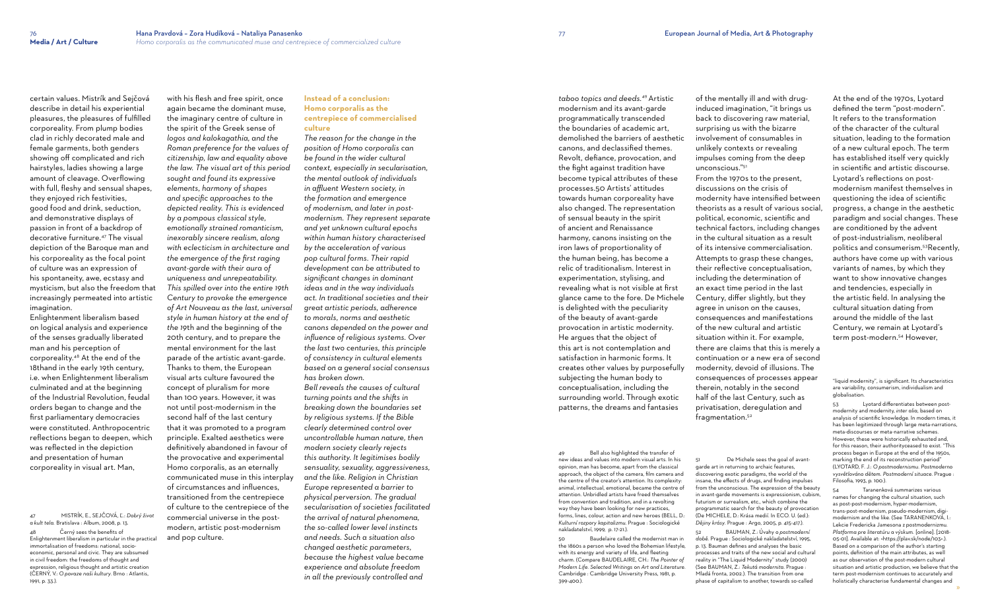certain values. Mistrík and Sejčová describe in detail his experiential pleasures, the pleasures of fulfilled corporeality. From plump bodies clad in richly decorated male and female garments, both genders showing off complicated and rich hairstyles, ladies showing a large amount of cleavage. Overflowing with full, fleshy and sensual shapes, they enjoyed rich festivities, good food and drink, seduction, and demonstrative displays of passion in front of a backdrop of decorative furniture.47 The visual depiction of the Baroque man and his corporeality as the focal point of culture was an expression of his spontaneity, awe, ecstasy and mysticism, but also the freedom that increasingly permeated into artistic imagination.

Enlightenment liberalism based on logical analysis and experience of the senses gradually liberated man and his perception of corporeality.48 At the end of the 18thand in the early 19th century, i.e. when Enlightenment liberalism culminated and at the beginning of the Industrial Revolution, feudal orders began to change and the first parliamentary democracies were constituted. Anthropocentric reflections began to deepen, which was reflected in the depiction and presentation of human corporeality in visual art. Man,

47 MISTRÍK, E., SEJČOVÁ, Ľ.: *Dobrý život a kult tela.* Bratislava : Album, 2008, p. 13.

48 Černý sees the benefits of Enlightenment liberalism in particular in the practical immortalisation of freedoms: national, socioeconomic, personal and civic. They are subsumed in civil freedom: the freedoms of thought and expression, religious thought and artistic creation (ČERNÝ, V.: *O povaze naši kultury*. Brno : Atlantis, 1991, p. 33.).

with his flesh and free spirit, once again became the dominant muse, the imaginary centre of culture in the spirit of the Greek sense of *logos and kalokagathia, and the Roman preference for the values of citizenship, law and equality above the law. The visual art of this period sought and found its expressive elements, harmony of shapes and specific approaches to the depicted reality. This is evidenced by a pompous classical style, emotionally strained romanticism, inexorably sincere realism, along with eclecticism in architecture and the emergence of the first raging avant-garde with their aura of uniqueness and unrepeatability. This spilled over into the entire 19th Century to provoke the emergence of Art Nouveau as the last, universal style in human history at the end of the 19*th and the beginning of the 20th century, and to prepare the mental environment for the last parade of the artistic avant-garde. Thanks to them, the European visual arts culture favoured the concept of pluralism for more than 100 years. However, it was not until post-modernism in the second half of the last century that it was promoted to a program principle. Exalted aesthetics were definitively abandoned in favour of the provocative and experimental Homo corporalis, as an eternally communicated muse in this interplay of circumstances and influences, transitioned from the centrepiece of culture to the centrepiece of the commercial universe in the postmodern, artistic post-modernism and pop culture.

Bell also highlighted the transfer of new ideas and values into modern visual arts. In his opinion, man has become, apart from the classical approach, the object of the camera, film camera and the centre of the creator's attention. Its complexity: animal, intellectual, emotional, became the centre of attention. Unbridled artists have freed themselves from convention and tradition, and in a revolting way they have been looking for new practices, forms, lines, colour, action and new heroes (BELL, D.: *Kulturní rozpory kapitalizmu*. Prague : Sociologické nakladatelství, 1999, p. 17-21.).

## **Instead of a conclusion: Homo corporalis as the centrepiece of commercialised culture**

Baudelaire called the modernist man in the 1860s a person who loved the Bohemian lifestyle, with its energy and variety of life, and fleeting charm. (Compare BAUDELAIRE, CH.: *The Pointer of Modern Life. Selected Writings on Art and Literature*. Cambridge : Cambridge University Press, 1981, p. 399-400.).

fragmentation.<sup>52</sup> garde art in returning to archaic features,

*The reason for the change in the position of Homo corporalis can be found in the wider cultural context, especially in secularisation, the mental outlook of individuals in affluent Western society, in the formation and emergence of modernism, and later in postmodernism. They represent separate and yet unknown cultural epochs within human history characterised by the acceleration of various pop cultural forms. Their rapid development can be attributed to significant changes in dominant ideas and in the way individuals act. In traditional societies and their great artistic periods, adherence to morals, norms and aesthetic canons depended on the power and influence of religious systems. Over the last two centuries, this principle of consistency in cultural elements based on a general social consensus has broken down. Bell reveals the causes of cultural turning points and the shifts in breaking down the boundaries set by religious systems. If the Bible clearly determined control over uncontrollable human nature, then modern society clearly rejects this authority. It legitimises bodily sensuality, sexuality, aggressiveness, and the like. Religion in Christian Europe represented a barrier to physical perversion. The gradual secularisation of societies facilitated the arrival of natural phenomena, the so-called lower level instincts and needs. Such a situation also changed aesthetic parameters, because the highest value became experience and absolute freedom in all the previously controlled and* 

De Michele sees the goal of avantdiscovering exotic paradigms, the world of the insane, the effects of drugs, and finding impulses from the unconscious. The expression of the beauty in avant-garde movements is expressionism, cubism, futurism or surrealism, etc., which combine the programmatic search for the beauty of provocation (De MICHELE, D.: Krása medií. In ECO. U. (ed.): *Dějiny krásy*. Prague : Argo, 2005, p. 415-417.).

53 Lyotard differentiates between postmodernity and modernity, *inter alia*, based on analysis of scientific knowledge. In modern times, it has been legitimized through large meta-narrations, meta-discourses or meta-narrative schemes. However, these were historically exhausted and, for this reason, their authorityceased to exist. "This process began in Europe at the end of the 1950s, marking the end of its reconstruction period" (LYOTARD, F. J.: *O postmodernismu. Postmoderno vysvětlováno dětem. Postmoderní situace*. Prague :  $Filosofia$ , 1993, p. 100.).

*taboo topics and deeds.*<sup>49</sup>Artistic modernism and its avant-garde programmatically transcended the boundaries of academic art, demolished the barriers of aesthetic canons, and declassified themes. Revolt, defiance, provocation, and the fight against tradition have become typical attributes of these processes.50 Artists' attitudes towards human corporeality have also changed. The representation of sensual beauty in the spirit of ancient and Renaissance harmony, canons insisting on the iron laws of proportionality of the human being, has become a relic of traditionalism. Interest in experimentation, stylising, and revealing what is not visible at first glance came to the fore. De Michele is delighted with the peculiarity of the beauty of avant-garde provocation in artistic modernity. He argues that the object of this art is not contemplation and satisfaction in harmonic forms. It creates other values by purposefully subjecting the human body to conceptualisation, including the surrounding world. Through exotic patterns, the dreams and fantasies

of the mentally ill and with druginduced imagination, "it brings us back to discovering raw material, surprising us with the bizarre involvement of consumables in unlikely contexts or revealing impulses coming from the deep unconscious."<sup>51</sup>

From the 1970s to the present, discussions on the crisis of modernity have intensified between theorists as a result of various social, political, economic, scientific and technical factors, including changes in the cultural situation as a result of its intensive commercialisation. Attempts to grasp these changes, their reflective conceptualisation, including the determination of an exact time period in the last Century, differ slightly, but they agree in unison on the causes, consequences and manifestations of the new cultural and artistic situation within it. For example, there are claims that this is merely a continuation or a new era of second modernity, devoid of illusions. The consequences of processes appear therein, notably in the second half of the last Century, such as privatisation, deregulation and

52 BAUMAN, Z.: Úvahy o *postmoderní době*. Prague : Sociologické nakladatelství, 1995, p. 13. Bauman defines and analyses the basic processes and traits of the new social and cultural reality in "The Liquid Modernity" study (2000) (See BAUMAN, Z.: *Tekutá modernita*. Prague : Mladá fronta, 2002.). The transition from one phase of capitalism to another, towards so-called

At the end of the 1970s, Lyotard defined the term "post-modern". It refers to the transformation of the character of the cultural situation, leading to the formation of a new cultural epoch. The term has established itself very quickly in scientific and artistic discourse. Lyotard's reflections on postmodernism manifest themselves in questioning the idea of scientific progress, a change in the aesthetic paradigm and social changes. These are conditioned by the advent of post-industrialism, neoliberal politics and consumerism. <sup>53</sup>Recently, authors have come up with various variants of names, by which they want to show innovative changes and tendencies, especially in the artistic field. In analysing the cultural situation dating from around the middle of the last Century, we remain at Lyotard's term post-modern. 54 However,

"liquid modernity", is significant. Its characteristics are variability, consumerism, individualism and globalisation.

54 Taranenková summarizes various names for changing the cultural situation, such as post-post-modernism, hyper-modernism, trans-post-modernism, pseudo-modernism, digimodernism and the like. (See TARANENKOVÁ, I.: Lekcie Fredericka Jamesona z postmodernizmu. *Platforma pre literatúru a výskum.* [online]. [2018- 05-01]. Available at: <<https://plav.sk/node/103>>.). Based on a comparison of the author's starting points, definition of the main attributes, as well as our observation of the post-modern cultural situation and artistic production, we believe that the term post-modernism continues to accurately and holistically characterise fundamental changes and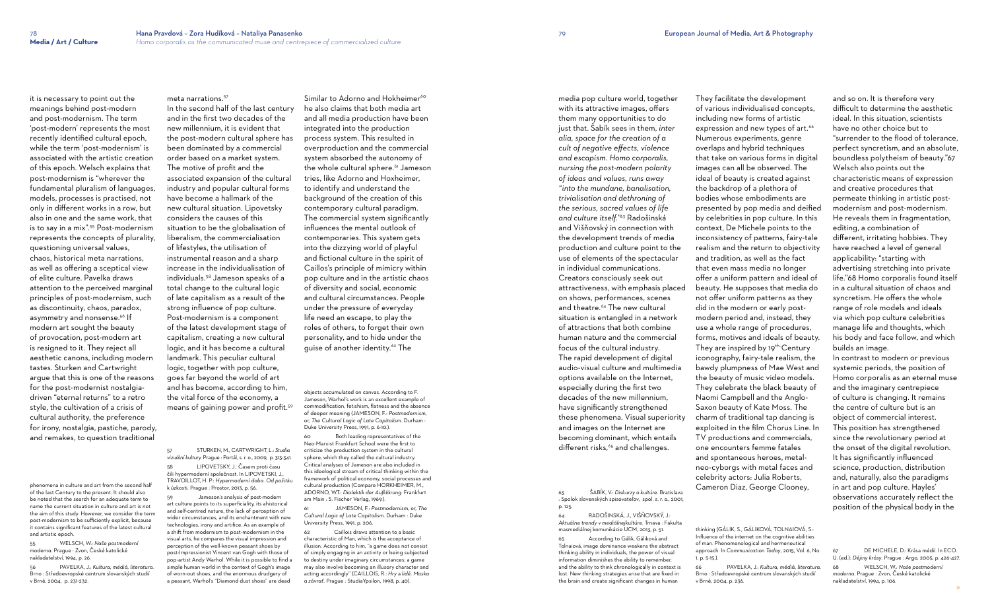it is necessary to point out the meanings behind post-modern and post-modernism. The term 'post-modern' represents the most recently identified cultural epoch, while the term 'post-modernism' is associated with the artistic creation of this epoch. Welsch explains that post-modernism is "wherever the fundamental pluralism of languages, models, processes is practised, not only in different works in a row, but also in one and the same work, that is to say in a mix".55 Post-modernism represents the concepts of plurality, questioning universal values, chaos, historical meta narrations, as well as offering a sceptical view of elite culture. Pavelka draws attention to the perceived marginal principles of post-modernism, such as discontinuity, chaos, paradox, asymmetry and nonsense.<sup>56</sup> If modern art sought the beauty of provocation, post-modern art is resigned to it. They reject all aesthetic canons, including modern tastes. Sturken and Cartwright argue that this is one of the reasons for the post-modernist nostalgiadriven "eternal returns" to a retro style, the cultivation of a crisis of cultural authority, the preference for irony, nostalgia, pastiche, parody, and remakes, to question traditional

phenomena in culture and art from the second half of the last Century to the present. It should also be noted that the search for an adequate term to name the current situation in culture and art is not the aim of this study. However, we consider the term post-modernism to be sufficiently explicit, because it contains significant features of the latest cultural and artistic epoch.

55 WELSCH, W.: *Naše postmoderní moderna*. Prague : Zvon, České katolické nakladatelství, 1994, p. 26.

56 PAVELKA, J.: *Kultura, médiá, literatura.* Brno : Středoevropské centrum slovanských studií v Brně, 2004, p. 231-232.

meta narrations.<sup>57</sup>

objects accumulated on canvas. According to F. Jameson, Warhol's work is an excellent example of commodification, fetishism, flatness and the absence of deeper meaning (JAMESON, F.: *Postmodernism, or, The Cultural Logic of Late Capitalism*. Durham : Duke University Press, 1991, p. 6-10.

In the second half of the last century and in the first two decades of the new millennium, it is evident that the post-modern cultural sphere has been dominated by a commercial order based on a market system. The motive of profit and the associated expansion of the cultural industry and popular cultural forms have become a hallmark of the new cultural situation. Lipovetsky considers the causes of this situation to be the globalisation of liberalism, the commercialisation of lifestyles, the utilisation of instrumental reason and a sharp increase in the individualisation of individuals.58 Jameson speaks of a total change to the cultural logic of late capitalism as a result of the strong influence of pop culture. Post-modernism is a component of the latest development stage of capitalism, creating a new cultural logic, and it has become a cultural landmark. This peculiar cultural logic, together with pop culture, goes far beyond the world of art and has become, according to him, the vital force of the economy, a means of gaining power and profit.<sup>59</sup>

media pop culture world, together with its attractive images, offers them many opportunities to do just that. Šabík sees in them, *inter alia, space for the creation of a cult of negative effects, violence and escapism. Homo corporalis, nursing the post-modern polarity of ideas and values, runs away "into the mundane, banalisation, trivialisation and dethroning of the serious, sacred values of life and culture itself."*<sup>63</sup> Radošinská and Višňovský in connection with the development trends of media production and culture point to the use of elements of the spectacular in individual communications. Creators consciously seek out attractiveness, with emphasis placed on shows, performances, scenes and theatre.<sup>64</sup> The new cultural situation is entangled in a network of attractions that both combine human nature and the commercial focus of the cultural industry. The rapid development of digital audio-visual culture and multimedia options available on the Internet, especially during the first two decades of the new millennium, have significantly strengthened these phenomena. Visual superiority and images on the Internet are becoming dominant, which entails different risks,<sup>65</sup> and challenges.

57 STURKEN, M., CARTWRIGHT, L.: *Studia vizuální kultury.* Prague : Portál, s. r. o., 2009, p. 313-341.

58 LIPOVETSKY, J.: Časem proti času čili hypermoderní společnost. In LIPOVETSKI, J., TRAVOILLOT, H. P.: *Hypermoderní doba. Od požitku* k úzkosti. Prague : Prostor, 2013, p. 56.

59 Jameson's analysis of post-modern art culture points to its superficiality, its ahistorical and self-centred nature, the lack of perception of wider circumstances, and its enchantment with new technologies, irony and artifice. As an example of a shift from modernism to post-modernism in the visual arts, he compares the visual impression and perception of the well-known peasant shoes by post-Impressionist Vincent van Gogh with those of pop-artist Andy Warhol. While it is possible to find a simple human world in the context of Gogh's image of worn-out shoes, and the enormous drudgery of a peasant, Warhol's "Diamond dust shoes" are dead

Similar to Adorno and Hokheimer<sup>60</sup> he also claims that both media art and all media production have been integrated into the production process system. This resulted in overproduction and the commercial system absorbed the autonomy of the whole cultural sphere.<sup>61</sup> Jameson tries, like Adorno and Hoxheimer, to identify and understand the background of the creation of this contemporary cultural paradigm. The commercial system significantly influences the mental outlook of contemporaries. This system gets into the dizzying world of playful and fictional culture in the spirit of Caillos's principle of mimicry within pop culture and in the artistic chaos of diversity and social, economic and cultural circumstances. People under the pressure of everyday life need an escape, to play the roles of others, to forget their own personality, and to hide under the guise of another identity.<sup>62</sup> The

> According to Gálik, Gáliková and Tolnaiová, image dominance weakens the abstract thinking ability in individuals, the power of visual information diminishes the ability to remember, and the ability to think chronologically in context is lost. New thinking strategies arise that are fixed in the brain and create significant changes in human

60 Both leading representatives of the Neo-Marxist Frankfurt School were the first to criticize the production system in the cultural sphere, which they called the cultural industry. Critical analyses of Jameson are also included in this ideological stream of critical thinking within the framework of political economy, social processes and cultural production (Compare HORKHEIMER, M., ADORNO, W.T.: *Dialektik der Aufklärung*. Frankfurt am Main : S. Fischer Verlag, 1969.).

61 JAMESON, F.: *Postmodernism, or, The Cultural Logic of Late Capitalism*. Durham : Duke University Press, 1991, p. 206.

62 Caillois draws attention to a basic characteristic of Man, which is the acceptance of illusion. According to him, "a game does not consist of simply engaging in an activity or being subjected to destiny under imaginary circumstances; a game may also involve becoming an illusory character and acting accordingly" (CAILLOIS, R.: *Hry* a *lidé. Maska a závrať*. Prague : StudiaYpsilon, 1998, p. 40).

64 RADOŠINSKÁ, J., VIŠŇOVSKÝ, J.: *Aktuálne trendy v mediálnejkultúre*. Trnava : Fakulta masmediálnej komunikácie UCM, 2013, p. 51.

They facilitate the development of various individualised concepts, including new forms of artistic expression and new types of art.<sup>66</sup> Numerous experiments, genre overlaps and hybrid techniques that take on various forms in digital images can all be observed. The ideal of beauty is created against the backdrop of a plethora of bodies whose embodiments are presented by pop media and deified by celebrities in pop culture. In this context, De Michele points to the inconsistency of patterns, fairy-tale realism and the return to objectivity and tradition, as well as the fact that even mass media no longer offer a uniform pattern and ideal of beauty. He supposes that media do not offer uniform patterns as they did in the modern or early postmodern period and, instead, they use a whole range of procedures, forms, motives and ideals of beauty. They are inspired by 19<sup>th-</sup>Century iconography, fairy-tale realism, the bawdy plumpness of Mae West and the beauty of music video models. They celebrate the black beauty of Naomi Campbell and the Anglo-Saxon beauty of Kate Moss. The charm of traditional tap dancing is exploited in the film Chorus Line. In TV productions and commercials, one encounters femme fatales and spontaneous heroes, metalneo-cyborgs with metal faces and celebrity actors: Julia Roberts, Cameron Diaz, George Clooney,

thinking (GÁLIK, S., GÁLIKOVÁ, TOLNAIOVÁ, S.: Influence of the internet on the cognitive abilities of man. Phenomenological and hermeneutical approach. In *Communication Today*, 2015, Vol. 6, No.

1, p. 5-15.).

66 PAVELKA, J.: *Kultura, médiá, literatura.* Brno : Středoevropské centrum slovanských studií

v Brně, 2004, p. 236.

and so on. It is therefore very difficult to determine the aesthetic ideal. In this situation, scientists have no other choice but to "surrender to the flood of tolerance, perfect syncretism, and an absolute, boundless polytheism of beauty."67 Welsch also points out the characteristic means of expression and creative procedures that permeate thinking in artistic postmodernism and post-modernism. He reveals them in fragmentation, editing, a combination of different, irritating hobbies. They have reached a level of general applicability: "starting with advertising stretching into private life."68 Homo corporalis found itself in a cultural situation of chaos and syncretism. He offers the whole range of role models and ideals via which pop culture celebrities manage life and thoughts, which his body and face follow, and which builds an image.

In contrast to modern or previous systemic periods, the position of Homo corporalis as an eternal muse and the imaginary centrepiece of culture is changing. It remains the centre of culture but is an object of commercial interest. This position has strengthened since the revolutionary period at the onset of the digital revolution. It has significantly influenced science, production, distribution and, naturally, also the paradigms in art and pop culture. Hayles' observations accurately reflect the position of the physical body in the

67 DE MICHELE, D.: Krása médií. In ECO. U. (ed.): *Dějiny krásy*. Prague : Argo, 2005, p. 426-427. 68 WELSCH, W.: *Naše postmoderní* 

*moderna*. Prague : Zvon, České katolické nakladatelství, 1994, p. 106.

<sup>63</sup> ŠABÍK, V.: *Diskurzy o kultúre.* Bratislava : Spolok slovenských spisovateľov, spol. s. r. o., 2001, p. 125.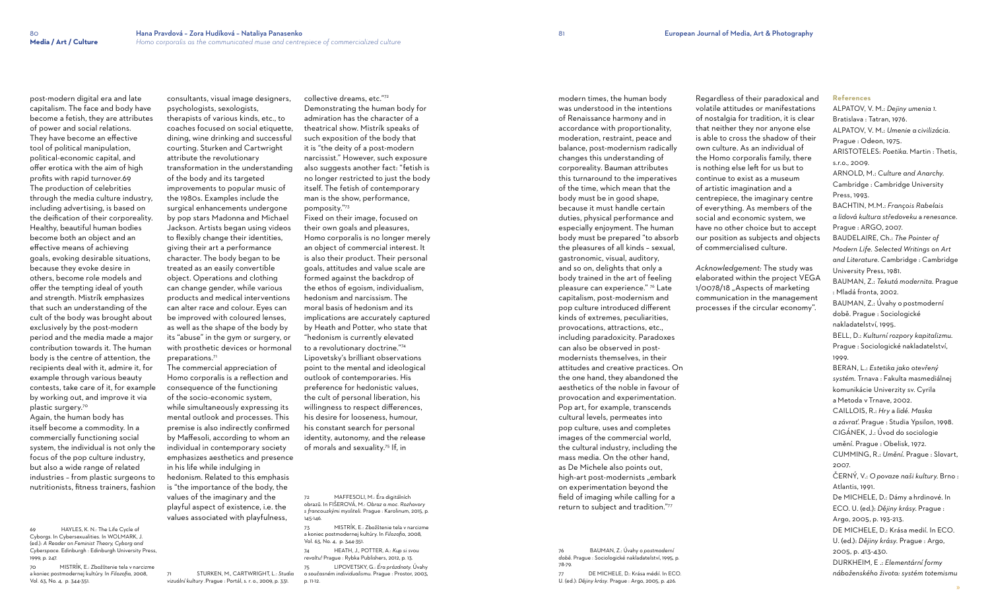post-modern digital era and late capitalism. The face and body have become a fetish, they are attributes of power and social relations. They have become an effective tool of political manipulation, political-economic capital, and offer erotica with the aim of high profits with rapid turnover.69 The production of celebrities through the media culture industry, including advertising, is based on the deification of their corporeality. Healthy, beautiful human bodies become both an object and an effective means of achieving goals, evoking desirable situations, because they evoke desire in others, become role models and offer the tempting ideal of youth and strength. Mistrík emphasizes that such an understanding of the cult of the body was brought about exclusively by the post-modern period and the media made a major contribution towards it. The human body is the centre of attention, the recipients deal with it, admire it, for example through various beauty contests, take care of it, for example by working out, and improve it via plastic surgery.<sup>70</sup>

Again, the human body has itself become a commodity. In a commercially functioning social system, the individual is not only the focus of the pop culture industry, but also a wide range of related industries – from plastic surgeons to nutritionists, fitness trainers, fashion

69 HAYLES, K. N.: The Life Cycle of Cyborgs. In Cybersexualities. In WOLMARK, J. (ed.): *A Reader on Feminist Theory, Cyborg and Cyberspace*. Edinburgh : Edinburgh University Press, 1999, p. 247.

70 MISTRÍK, E.: Zbožštenie tela v narcizme a koniec postmodernej kultúry. In *Filozofia,* 2008, Vol. 63, No. 4, p. 344-351.

consultants, visual image designers, psychologists, sexologists,

therapists of various kinds, etc., to coaches focused on social etiquette, dining, wine drinking and successful courting. Sturken and Cartwright attribute the revolutionary transformation in the understanding of the body and its targeted improvements to popular music of the 1980s. Examples include the surgical enhancements undergone by pop stars Madonna and Michael Jackson. Artists began using videos to flexibly change their identities, giving their art a performance character. The body began to be treated as an easily convertible object. Operations and clothing can change gender, while various products and medical interventions can alter race and colour. Eyes can be improved with coloured lenses, as well as the shape of the body by its "abuse" in the gym or surgery, or with prosthetic devices or hormonal preparations.<sup>71</sup>

> MAFFESOLI, M.: Éra digitálních obrazů. In FIŠEROVÁ, M.: *Obraz a moc. Rozhovory s francouzkými mysliteli.* Prague : Karolinum, 2015, p. 145-146.

The commercial appreciation of Homo corporalis is a reflection and consequence of the functioning of the socio-economic system, while simultaneously expressing its mental outlook and processes. This premise is also indirectly confirmed by Maffesoli, according to whom an individual in contemporary society emphasizes aesthetics and presence in his life while indulging in hedonism. Related to this emphasis is "the importance of the body, the values of the imaginary and the playful aspect of existence, i.e. the values associated with playfulness,

71 STURKEN, M., CARTWRIGHT, L.: *Studia* 

*vizuální kultury .*Prague : Portál, s. r. o., 2009, p. 331.

collective dreams, etc."<sup>72</sup>

Demonstrating the human body for admiration has the character of a theatrical show. Mistrík speaks of such exposition of the body that it is "the deity of a post-modern narcissist." However, such exposure also suggests another fact: "fetish is no longer restricted to just the body itself. The fetish of contemporary

man is the show, performance,

pomposity."<sup>73</sup> Fixed on their image, focused on their own goals and pleasures, Homo corporalis is no longer merely an object of commercial interest. It is also their product. Their personal goals, attitudes and value scale are formed against the backdrop of the ethos of egoism, individualism, hedonism and narcissism. The moral basis of hedonism and its implications are accurately captured by Heath and Potter, who state that "hedonism is currently elevated to a revolutionary doctrine."<sup>74</sup> Lipovetsky's brilliant observations point to the mental and ideological outlook of contemporaries. His preference for hedonistic values, the cult of personal liberation, his willingness to respect differences, his desire for looseness, humour, his constant search for personal identity, autonomy, and the release of morals and sexuality.75 If, in

73 MISTRÍK, E.: Zbožštenie tela v narcizme a koniec postmodernej kultúry. In *Filozofia,* 2008, Vol. 63, No. 4, p. 344-351.

74 HEATH, J., POTTER, A.: *Kup si svou revoltu!* Prague : Rybka Publishers, 2012, p. 13.

75 LIPOVETSKY, G.: *Éra prázdnoty.* Úvahy o *současném individualismu*. Prague : Prostor, 2003, p. 11-12.

modern times, the human body was understood in the intentions of Renaissance harmony and in accordance with proportionality, moderation, restraint, peace and balance, post-modernism radically changes this understanding of corporeality. Bauman attributes this turnaround to the imperatives of the time, which mean that the body must be in good shape, because it must handle certain duties, physical performance and especially enjoyment. The human body must be prepared "to absorb the pleasures of all kinds – sexual, gastronomic, visual, auditory, and so on, delights that only a body trained in the art of feeling pleasure can experience." 76 Late capitalism, post-modernism and pop culture introduced different kinds of extremes, peculiarities, provocations, attractions, etc., including paradoxicity. Paradoxes can also be observed in postmodernists themselves, in their attitudes and creative practices. On the one hand, they abandoned the aesthetics of the noble in favour of provocation and experimentation. Pop art, for example, transcends cultural levels, permeates into pop culture, uses and completes images of the commercial world, the cultural industry, including the mass media. On the other hand, as De Michele also points out, high-art post-modernists "embark on experimentation beyond the field of imaging while calling for a return to subject and tradition."<sup>77</sup>

76 BAUMAN, Z.: Úvahy o *postmoderní době*. Prague : Sociologické nakladatelství, 1995, p. 78-79.

77 DE MICHELE, D.: Krása médií. In ECO. U. (ed.): *Dějiny krásy*. Prague : Argo, 2005, p. 426.

Regardless of their paradoxical and volatile attitudes or manifestations of nostalgia for tradition, it is clear that neither they nor anyone else is able to cross the shadow of their own culture. As an individual of the Homo corporalis family, there is nothing else left for us but to continue to exist as a museum of artistic imagination and a centrepiece, the imaginary centre of everything. As members of the social and economic system, we have no other choice but to accept our position as subjects and objects of commercialised culture.

*Acknowledgement:* The study was elaborated within the project VEGA 1/0078/18 . Aspects of marketing communication in the management processes if the circular economy".

### **References**

ALPATOV, V. M.: *Dejiny umenia 1.*  Bratislava : Tatran, 1976. ALPATOV, V. M.: *Umenie a civilizácia*. Prague : Odeon, 1975. ARISTOTELES: *Poetika*. Martin : Thetis, s.r.o., 2009. ARNOLD, M.: *Culture and Anarchy*. Cambridge : Cambridge University Press, 1993. BACHTIN, M.M.: *François Rabelais a lidová kultura středoveku* a *renesance*. Prague : ARGO, 2007. BAUDELAIRE, Ch.: *The Pointer of Modern Life. Selected Writings on Art and Literature*. Cambridge : Cambridge University Press, 1981. BAUMAN, Z.: *Tekutá modernita*. Prague : Mladá fronta, 2002. BAUMAN, Z.: Úvahy o postmoderní době. Prague : Sociologické nakladatelství, 1995. BELL, D.: *Kulturní rozpory kapitalizmu*. Prague : Sociologické nakladatelství, 1999. BERAN, L.: *Estetika jako otevřený systém.* Trnava : Fakulta masmediálnej komunikácie Univerzity sv. Cyrila a Metoda v Trnave, 2002. CAILLOIS, R.: *Hry* a *lidé. Maska a závrať*. Prague : Studia Ypsilon, 1998. CIGÁNEK, J.: Úvod do sociologie umění. Prague : Obelisk, 1972. CUMMING, R.: *Umění*. Prague : Slovart, 2007. ČERNÝ, V.: *O povaze naši kultury*. Brno : Atlantis, 1991. De MICHELE, D.: Dámy a hrdinové. In ECO. U. (ed.): *Dějiny krásy*. Prague : Argo, 2005, p. 193-213. DE MICHELE, D.: Krása medií. In ECO. U. (ed.): *Dějiny krásy*. Prague : Argo, 2005, p. 413-430. DURKHEIM, E .: *Elementární formy náboženského života: systém totemismu*